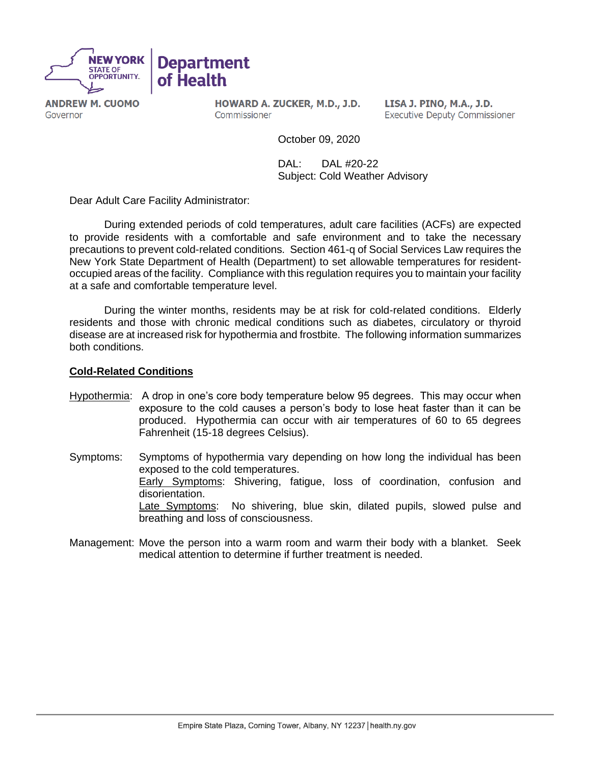

**ANDREW M. CUOMO** Governor

HOWARD A. ZUCKER, M.D., J.D. Commissioner

LISA J. PINO, M.A., J.D. **Executive Deputy Commissioner** 

October 09, 2020

DAL: DAL #20-22 Subject: Cold Weather Advisory

Dear Adult Care Facility Administrator:

During extended periods of cold temperatures, adult care facilities (ACFs) are expected to provide residents with a comfortable and safe environment and to take the necessary precautions to prevent cold-related conditions. Section 461-q of Social Services Law requires the New York State Department of Health (Department) to set allowable temperatures for residentoccupied areas of the facility. Compliance with this regulation requires you to maintain your facility at a safe and comfortable temperature level.

During the winter months, residents may be at risk for cold-related conditions. Elderly residents and those with chronic medical conditions such as diabetes, circulatory or thyroid disease are at increased risk for hypothermia and frostbite. The following information summarizes both conditions.

## **Cold-Related Conditions**

- Hypothermia: A drop in one's core body temperature below 95 degrees. This may occur when exposure to the cold causes a person's body to lose heat faster than it can be produced. Hypothermia can occur with air temperatures of 60 to 65 degrees Fahrenheit (15-18 degrees Celsius).
- Symptoms: Symptoms of hypothermia vary depending on how long the individual has been exposed to the cold temperatures. Early Symptoms: Shivering, fatigue, loss of coordination, confusion and disorientation. Late Symptoms: No shivering, blue skin, dilated pupils, slowed pulse and breathing and loss of consciousness.
- Management: Move the person into a warm room and warm their body with a blanket. Seek medical attention to determine if further treatment is needed.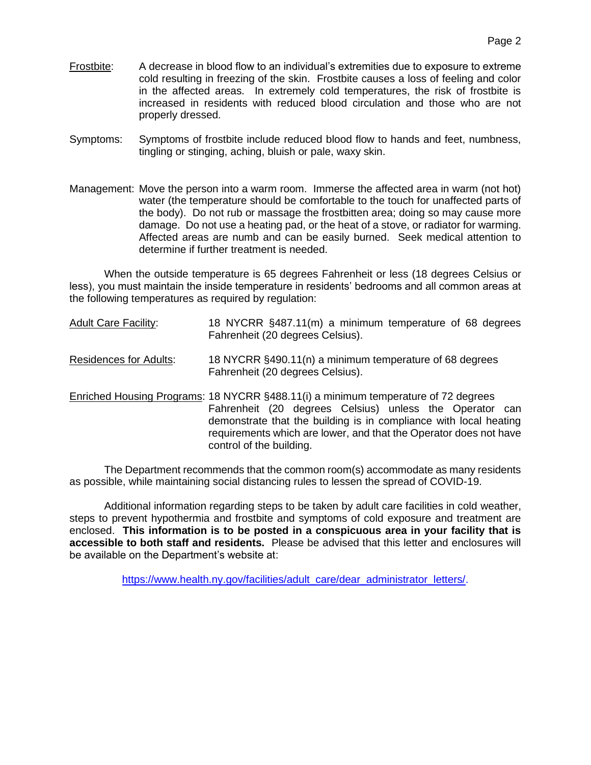- Frostbite: A decrease in blood flow to an individual's extremities due to exposure to extreme cold resulting in freezing of the skin. Frostbite causes a loss of feeling and color in the affected areas. In extremely cold temperatures, the risk of frostbite is increased in residents with reduced blood circulation and those who are not properly dressed.
- Symptoms: Symptoms of frostbite include reduced blood flow to hands and feet, numbness, tingling or stinging, aching, bluish or pale, waxy skin.
- Management: Move the person into a warm room. Immerse the affected area in warm (not hot) water (the temperature should be comfortable to the touch for unaffected parts of the body). Do not rub or massage the frostbitten area; doing so may cause more damage. Do not use a heating pad, or the heat of a stove, or radiator for warming. Affected areas are numb and can be easily burned. Seek medical attention to determine if further treatment is needed.

When the outside temperature is 65 degrees Fahrenheit or less (18 degrees Celsius or less), you must maintain the inside temperature in residents' bedrooms and all common areas at the following temperatures as required by regulation:

| <b>Adult Care Facility:</b>   | 18 NYCRR §487.11(m) a minimum temperature of 68 degrees<br>Fahrenheit (20 degrees Celsius).                                                                                                                                                                                             |  |
|-------------------------------|-----------------------------------------------------------------------------------------------------------------------------------------------------------------------------------------------------------------------------------------------------------------------------------------|--|
| <b>Residences for Adults:</b> | 18 NYCRR §490.11(n) a minimum temperature of 68 degrees<br>Fahrenheit (20 degrees Celsius).                                                                                                                                                                                             |  |
|                               | Enriched Housing Programs: 18 NYCRR §488.11(i) a minimum temperature of 72 degrees<br>Fahrenheit (20 degrees Celsius) unless the Operator can<br>demonstrate that the building is in compliance with local heating<br>requirements which are lower, and that the Operator does not have |  |

The Department recommends that the common room(s) accommodate as many residents as possible, while maintaining social distancing rules to lessen the spread of COVID-19.

control of the building.

Additional information regarding steps to be taken by adult care facilities in cold weather, steps to prevent hypothermia and frostbite and symptoms of cold exposure and treatment are enclosed. **This information is to be posted in a conspicuous area in your facility that is accessible to both staff and residents.** Please be advised that this letter and enclosures will be available on the Department's website at:

[https://www.health.ny.gov/facilities/adult\\_care/dear\\_administrator\\_letters/.](https://www.health.ny.gov/facilities/adult_care/dear_administrator_letters/)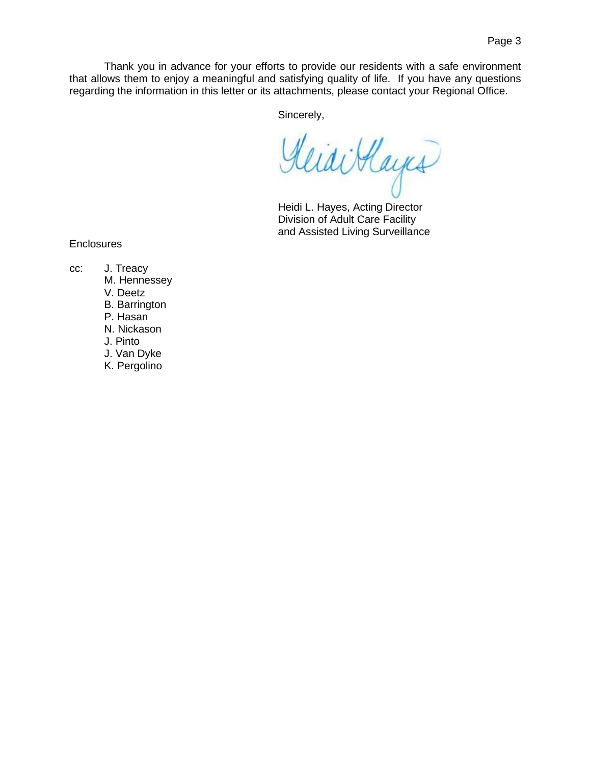Sincerely,

KlidiHayes

Heidi L. Hayes, Acting Director Division of Adult Care Facility and Assisted Living Surveillance

**Enclosures** 

- cc: J. Treacy
	- M. Hennessey V. Deetz
		- B. Barrington
		- P. Hasan
		- N. Nickason
		- J. Pinto
		- J. Van Dyke
		- K. Pergolino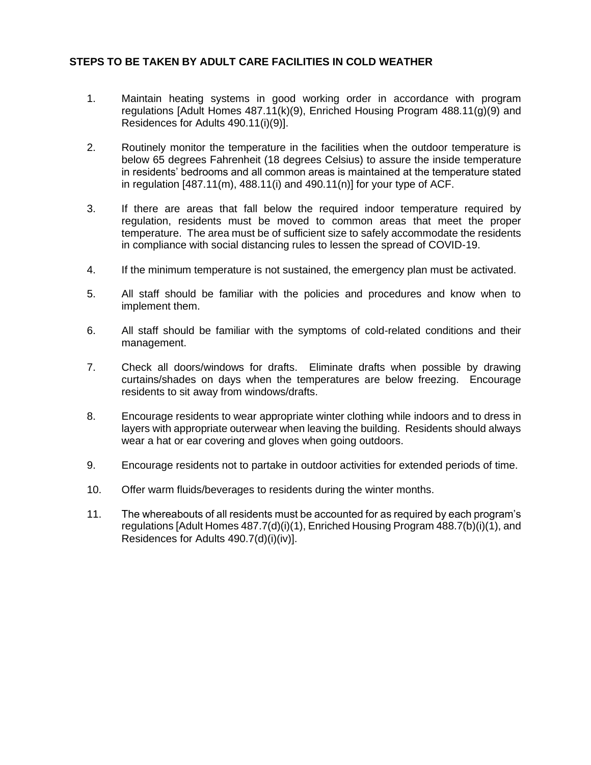## **STEPS TO BE TAKEN BY ADULT CARE FACILITIES IN COLD WEATHER**

- 1. Maintain heating systems in good working order in accordance with program regulations [Adult Homes 487.11(k)(9), Enriched Housing Program 488.11(g)(9) and Residences for Adults 490.11(i)(9)].
- 2. Routinely monitor the temperature in the facilities when the outdoor temperature is below 65 degrees Fahrenheit (18 degrees Celsius) to assure the inside temperature in residents' bedrooms and all common areas is maintained at the temperature stated in regulation  $[487.11(m), 488.11(i)$  and  $490.11(n)$  for your type of ACF.
- 3. If there are areas that fall below the required indoor temperature required by regulation, residents must be moved to common areas that meet the proper temperature. The area must be of sufficient size to safely accommodate the residents in compliance with social distancing rules to lessen the spread of COVID-19.
- 4. If the minimum temperature is not sustained, the emergency plan must be activated.
- 5. All staff should be familiar with the policies and procedures and know when to implement them.
- 6. All staff should be familiar with the symptoms of cold-related conditions and their management.
- 7. Check all doors/windows for drafts. Eliminate drafts when possible by drawing curtains/shades on days when the temperatures are below freezing. Encourage residents to sit away from windows/drafts.
- 8. Encourage residents to wear appropriate winter clothing while indoors and to dress in layers with appropriate outerwear when leaving the building. Residents should always wear a hat or ear covering and gloves when going outdoors.
- 9. Encourage residents not to partake in outdoor activities for extended periods of time.
- 10. Offer warm fluids/beverages to residents during the winter months.
- 11. The whereabouts of all residents must be accounted for as required by each program's regulations [Adult Homes 487.7(d)(i)(1), Enriched Housing Program 488.7(b)(i)(1), and Residences for Adults 490.7(d)(i)(iv)].